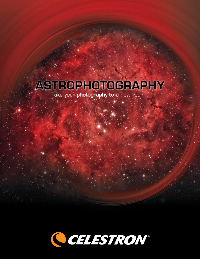# ASTROPHOTOGRAPHY

Take your photography to a new realm.

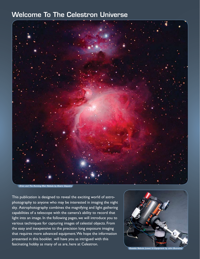# Welcome To The Celestron Universe



*Orion and The Running Man Nebula by Alvaro Vaquero*

This publication is designed to reveal the exciting world of astrophotography to anyone who may be interested in imaging the night sky. Astrophotography combines the magnifying and light gathering capabilities of a telescope with the camera's ability to record that light into an image. In the following pages, we will introduce you to various techniques for capturing images of celestial objects. From the easy and inexpensive to the precision long exposure imaging that requires more advanced equipment. We hope the information presented in this booklet will have you as intrigued with this fascinating hobby as many of us are, here at Celestron.



*Rosette Nebula (cover) & Equipment by John Buonomo*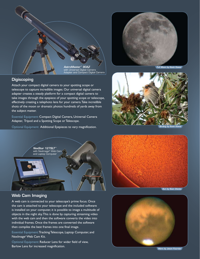

#### **Digiscoping**

Attach your compact digital camera to your spotting scope or telescope to capture incredible images. Our universal digital camera adapter creates a steady platform for a compact digital camera to take images through the eyepiece of your spotting scope or telescope, effectively creating a telephoto lens for your camera. Take incredible shots of the moon or dramatic photos hundreds of yards away from the subject matter.

Essential Equipment: Compact Digital Camera, Universal Camera Adapter, Tripod and a Spotting Scope or Telescope.

Optional Equipment: Additional Eyepieces to vary magnification.



*Full Moon by Kevin Kawai*



*Birding by Kevin Kawai*



## Web Cam Imaging

A web cam is connected to your telescope's prime focus. Once the cam is attached to your telescope and the included software is installed on your computer, it is possible to image a multitude of objects in the night sky. This is done by capturing streaming video with the web cam and then the software converts the video into individual frames. Once the frames are converted the software then compiles the best frames into one final image.

Essential Equipment: Tracking Telescope, Laptop Computer, and NexImage® Web Cam Kit.

Optional Equipment: Reducer Lens for wider field of view, Barlow Lens for increased magnification.





*Mars by Jason Fournier*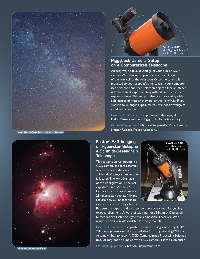

*Milky Way (Galactic Center) by Efrain Sanchez*



## Piggyback Camera Setup on a Computerized Telescope

An easy way to take advantage of your SLR or DSLR camera. With this setup your camera mounts on top of the rear cell of the telescope. Once the camera is mounted to your scope it's time to align your computerized telescope and then select an object. Once an object is located, start experimenting with different lenses and exposure times. This setup is also great for taking wide field images of meteor showers or the Milky Way. If you want to take longer exposures you will need a wedge to avoid field rotation.

Essential Equipment: Computerized Telescope, SLR or DSLR Camera and Lens, Piggyback Mount Accessory.

Optional Equipment: Vibration Suppression Pads, Remote Shutter Release, Wedge Accessory.



This setup requires mounting a CCD camera and lens assembly where the secondary mirror of a Schmidt-Cassegrain telescope is located. The key advantage of this configuration is the fast exposure time. At the f/2 focal ratio, exposure times are 25 times faster than at f/10 and require only 20-30 seconds to capture many deep sky objects.



Because the exposure time is so low there is no need for guiding or polar alignment. A word of warning, not all Schmidt-Cassegrain telescopes are Fastar or Hyperstar compatible. There are after market conversion kits available for many models.

Essential Equipment: Compatible Schmidt-Cessegrain or EdgeHD™ Telescope (conversion kits are available for many models), F/2 Lens Assembly (Starizona.com), CCD Camera, Image Processing Software (may or may not be bundled with CCD camera), Laptop Computer.

Optional Equipment: Vibration Suppression Pads.



*Orion Nebula by Kevin Kawai*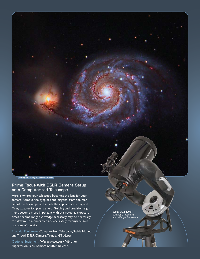

#### *Whirlpool Galaxy by Frederic Caron*

#### Prime Focus with DSLR Camera Setup on a Computerized Telescope

Here is where your telescope becomes the lens for your camera. Remove the eyepiece and diagonal from the rear cell of the telescope and attach the appropriate T-ring and T-ring adapter for your camera. Guiding and precision alignment become more important with this setup as exposure times become longer. A wedge accessory may be necessary for altazimuth mounts to track accurately through certain portions of the sky.

Essential Equipment: Computerized Telescope, Stable Mount and Tripod, DSLR Camera, T-ring and T-adapter.

Optional Equipment: Wedge Accessory, Vibration Suppression Pads, Remote Shutter Release.

*CPC 925 GPS*  with DSLR Camera and Wedge Accessory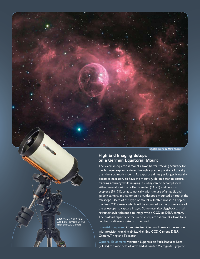*Bubble Nebula by Marc Jousset*

#### High End Imaging Setups on a German Equatorial Mount

The German equatorial mount allows better tracking accuracy for much longer exposure times through a greater portion of the sky than the altazimuth mount. As exposure times get longer it usually becomes necessary to have the mount guide on a star to ensure tracking accuracy while imaging. Guiding can be accomplished either manually with an off-axis guider (94176) and crosshair eyepiece (94171), or automatically with the use of an additional guiding camera, and commonly, a guidescope mounted on top of the telescope. Users of this type of mount will often invest in a top of the line CCD camera which will be mounted to the prime focus of the telescope to capture images. Some may also piggyback a small refractor style telescope to image with a CCD or DSLR camera. The payload capacity of the German equatorial mount allows for a number of different setups to be used.

Essential Equipment: Computerized German Equatorial Telescope with precision tracking ability, High End CCD Camera, DSLR Camera, T-ring and T-adapter.

Optional Equipment: Vibration Suppression Pads, Reducer Lens (94175) for wide field of view, Radial Guider, Microguide Eyepiece.

*CGE™ Pro 1400 HD*  with EdgeHD*™* Optics and igh End CCD Camera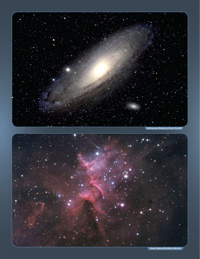